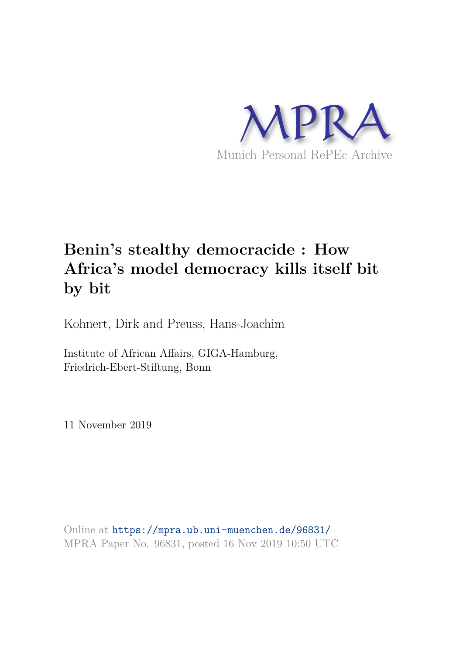

# **Benin's stealthy democracide : How Africa's model democracy kills itself bit by bit**

Kohnert, Dirk and Preuss, Hans-Joachim

Institute of African Affairs, GIGA-Hamburg, Friedrich-Ebert-Stiftung, Bonn

11 November 2019

Online at https://mpra.ub.uni-muenchen.de/96831/ MPRA Paper No. 96831, posted 16 Nov 2019 10:50 UTC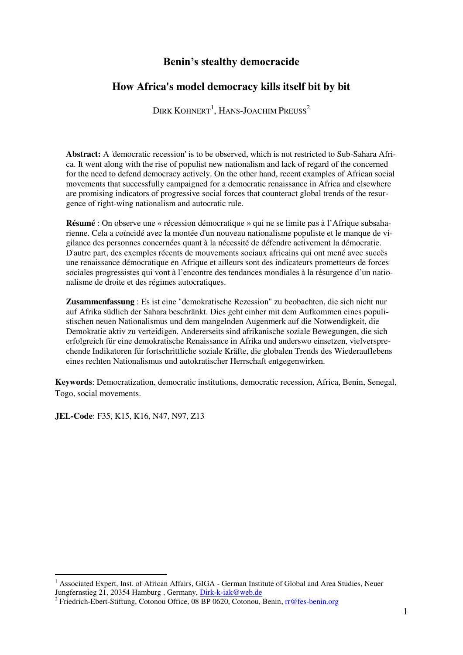# **Benin's stealthy democracide**

# **How Africa's model democracy kills itself bit by bit**

DIRK  $K$ OHNERT<sup>1</sup>, HANS-JOACHIM PREUSS<sup>2</sup>

**Abstract:** A 'democratic recession' is to be observed, which is not restricted to Sub-Sahara Africa. It went along with the rise of populist new nationalism and lack of regard of the concerned for the need to defend democracy actively. On the other hand, recent examples of African social movements that successfully campaigned for a democratic renaissance in Africa and elsewhere are promising indicators of progressive social forces that counteract global trends of the resurgence of right-wing nationalism and autocratic rule.

**Résumé** : On observe une « récession démocratique » qui ne se limite pas à l'Afrique subsaharienne. Cela a coïncidé avec la montée d'un nouveau nationalisme populiste et le manque de vigilance des personnes concernées quant à la nécessité de défendre activement la démocratie. D'autre part, des exemples récents de mouvements sociaux africains qui ont mené avec succès une renaissance démocratique en Afrique et ailleurs sont des indicateurs prometteurs de forces sociales progressistes qui vont à l'encontre des tendances mondiales à la résurgence d'un nationalisme de droite et des régimes autocratiques.

**Zusammenfassung** : Es ist eine "demokratische Rezession" zu beobachten, die sich nicht nur auf Afrika südlich der Sahara beschränkt. Dies geht einher mit dem Aufkommen eines populistischen neuen Nationalismus und dem mangelnden Augenmerk auf die Notwendigkeit, die Demokratie aktiv zu verteidigen. Andererseits sind afrikanische soziale Bewegungen, die sich erfolgreich für eine demokratische Renaissance in Afrika und anderswo einsetzen, vielversprechende Indikatoren für fortschrittliche soziale Kräfte, die globalen Trends des Wiederauflebens eines rechten Nationalismus und autokratischer Herrschaft entgegenwirken.

**Keywords**: Democratization, democratic institutions, democratic recession, Africa, Benin, Senegal, Togo, social movements.

**JEL-Code**: F35, K15, K16, N47, N97, Z13

1

<sup>&</sup>lt;sup>1</sup> Associated Expert, Inst. of African Affairs, GIGA - German Institute of Global and Area Studies, Neuer Jungfernstieg 21, 20354 Hamburg, Germany, Dirk-k-iak@web.de

<sup>&</sup>lt;sup>2</sup> Friedrich-Ebert-Stiftung, Cotonou Office, 08 BP 0620, Cotonou, Benin, rr@fes-benin.org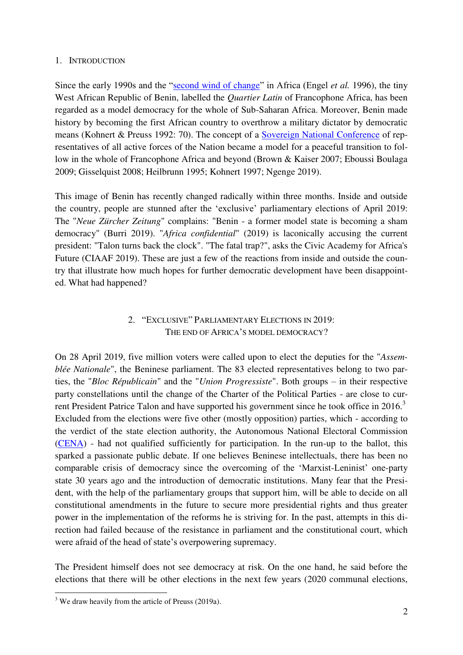#### 1. INTRODUCTION

Since the early 1990s and the "[second wind of change](https://fr.wikipedia.org/wiki/Wind_of_Change_(discours))" in Africa (Engel *et al.* 1996), the tiny West African Republic of Benin, labelled the *Quartier Latin* of Francophone Africa, has been regarded as a model democracy for the whole of Sub-Saharan Africa. Moreover, Benin made history by becoming the first African country to overthrow a military dictator by democratic means (Kohnert & Preuss 1992: 70). The concept of a [Sovereign National Conference](https://fr.wikipedia.org/wiki/Conf%C3%A9rence_nationale_souveraine_(B%C3%A9nin)) of representatives of all active forces of the Nation became a model for a peaceful transition to follow in the whole of Francophone Africa and beyond (Brown & Kaiser 2007; Eboussi Boulaga 2009; Gisselquist 2008; Heilbrunn 1995; Kohnert 1997; Ngenge 2019).

This image of Benin has recently changed radically within three months. Inside and outside the country, people are stunned after the 'exclusive' parliamentary elections of April 2019: The "*Neue Zürcher Zeitung*" complains: "Benin - a former model state is becoming a sham democracy" (Burri 2019). "*Africa confidential*" (2019) is laconically accusing the current president: "Talon turns back the clock". "The fatal trap?", asks the Civic Academy for Africa's Future (CIAAF 2019). These are just a few of the reactions from inside and outside the country that illustrate how much hopes for further democratic development have been disappointed. What had happened?

## 2. "EXCLUSIVE" PARLIAMENTARY ELECTIONS IN 2019: THE END OF AFRICA'S MODEL DEMOCRACY?

On 28 April 2019, five million voters were called upon to elect the deputies for the "*Assemblée Nationale*", the Beninese parliament. The 83 elected representatives belong to two parties, the "*Bloc Républicain*" and the "*Union Progressiste*". Both groups – in their respective party constellations until the change of the Charter of the Political Parties - are close to current President Patrice Talon and have supported his government since he took office in 2016.<sup>3</sup> Excluded from the elections were five other (mostly opposition) parties, which - according to the verdict of the state election authority, the Autonomous National Electoral Commission [\(CENA\)](https://fr.wikipedia.org/wiki/Commission_%C3%A9lectorale_nationale_autonome_(B%C3%A9nin)) - had not qualified sufficiently for participation. In the run-up to the ballot, this sparked a passionate public debate. If one believes Beninese intellectuals, there has been no comparable crisis of democracy since the overcoming of the 'Marxist-Leninist' one-party state 30 years ago and the introduction of democratic institutions. Many fear that the President, with the help of the parliamentary groups that support him, will be able to decide on all constitutional amendments in the future to secure more presidential rights and thus greater power in the implementation of the reforms he is striving for. In the past, attempts in this direction had failed because of the resistance in parliament and the constitutional court, which were afraid of the head of state's overpowering supremacy.

The President himself does not see democracy at risk. On the one hand, he said before the elections that there will be other elections in the next few years (2020 communal elections,

 $3$  We draw heavily from the article of Preuss (2019a).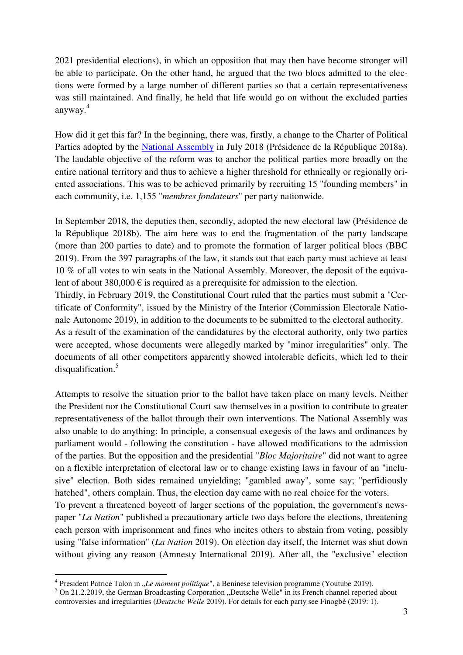2021 presidential elections), in which an opposition that may then have become stronger will be able to participate. On the other hand, he argued that the two blocs admitted to the elections were formed by a large number of different parties so that a certain representativeness was still maintained. And finally, he held that life would go on without the excluded parties anyway.<sup>4</sup>

How did it get this far? In the beginning, there was, firstly, a change to the Charter of Political Parties adopted by the [National Assembly](https://en.wikipedia.org/wiki/National_Assembly_(Benin)) in July 2018 (Présidence de la République 2018a). The laudable objective of the reform was to anchor the political parties more broadly on the entire national territory and thus to achieve a higher threshold for ethnically or regionally oriented associations. This was to be achieved primarily by recruiting 15 "founding members" in each community, i.e. 1,155 "*membres fondateurs*" per party nationwide.

In September 2018, the deputies then, secondly, adopted the new electoral law (Présidence de la République 2018b). The aim here was to end the fragmentation of the party landscape (more than 200 parties to date) and to promote the formation of larger political blocs (BBC 2019). From the 397 paragraphs of the law, it stands out that each party must achieve at least 10 % of all votes to win seats in the National Assembly. Moreover, the deposit of the equivalent of about 380,000  $\epsilon$  is required as a prerequisite for admission to the election.

Thirdly, in February 2019, the Constitutional Court ruled that the parties must submit a "Certificate of Conformity", issued by the Ministry of the Interior (Commission Electorale Nationale Autonome 2019), in addition to the documents to be submitted to the electoral authority.

As a result of the examination of the candidatures by the electoral authority, only two parties were accepted, whose documents were allegedly marked by "minor irregularities" only. The documents of all other competitors apparently showed intolerable deficits, which led to their disqualification.<sup>5</sup>

Attempts to resolve the situation prior to the ballot have taken place on many levels. Neither the President nor the Constitutional Court saw themselves in a position to contribute to greater representativeness of the ballot through their own interventions. The National Assembly was also unable to do anything: In principle, a consensual exegesis of the laws and ordinances by parliament would - following the constitution - have allowed modifications to the admission of the parties. But the opposition and the presidential "*Bloc Majoritaire*" did not want to agree on a flexible interpretation of electoral law or to change existing laws in favour of an "inclusive" election. Both sides remained unyielding; "gambled away", some say; "perfidiously hatched", others complain. Thus, the election day came with no real choice for the voters. To prevent a threatened boycott of larger sections of the population, the government's newspaper "*La Nation*" published a precautionary article two days before the elections, threatening each person with imprisonment and fines who incites others to abstain from voting, possibly using "false information" (*La Nation* 2019). On election day itself, the Internet was shut down without giving any reason (Amnesty International 2019). After all, the "exclusive" election

1

<sup>&</sup>lt;sup>4</sup> President Patrice Talon in "*Le moment politique*", a Beninese television programme (Youtube 2019).

 $5$  On 21.2.2019, the German Broadcasting Corporation "Deutsche Welle" in its French channel reported about controversies and irregularities (*Deutsche Welle* 2019). For details for each party see Finogbé (2019: 1).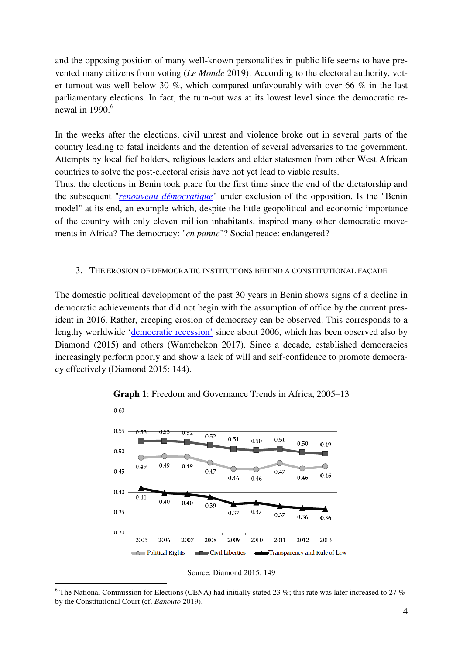and the opposing position of many well-known personalities in public life seems to have prevented many citizens from voting (*Le Monde* 2019): According to the electoral authority, voter turnout was well below 30 %, which compared unfavourably with over 66 % in the last parliamentary elections. In fact, the turn-out was at its lowest level since the democratic renewal in  $1990<sup>6</sup>$ 

In the weeks after the elections, civil unrest and violence broke out in several parts of the country leading to fatal incidents and the detention of several adversaries to the government. Attempts by local fief holders, religious leaders and elder statesmen from other West African countries to solve the post-electoral crisis have not yet lead to viable results.

Thus, the elections in Benin took place for the first time since the end of the dictatorship and the subsequent "*[renouveau démocratique](https://fr.wikipedia.org/wiki/B%C3%A9nin#Premi%C3%A8res_ann%C3%A9es_du_renouveau_d%C3%A9mocratique_(1990-2006))*" under exclusion of the opposition. Is the "Benin model" at its end, an example which, despite the little geopolitical and economic importance of the country with only eleven million inhabitants, inspired many other democratic movements in Africa? The democracy: "*en panne*"? Social peace: endangered?

#### 3. THE EROSION OF DEMOCRATIC INSTITUTIONS BEHIND A CONSTITUTIONAL FAÇADE

The domestic political development of the past 30 years in Benin shows signs of a decline in democratic achievements that did not begin with the assumption of office by the current president in 2016. Rather, creeping erosion of democracy can be observed. This corresponds to a lengthy worldwide ['democratic recession'](https://web.archive.org/web/20180819182910/https:/www.journalofdemocracy.org/sites/default/files/Diamond-26-1_0.pdf) since about 2006, which has been observed also by Diamond (2015) and others (Wantchekon 2017). Since a decade, established democracies increasingly perform poorly and show a lack of will and self-confidence to promote democracy effectively (Diamond 2015: 144).



**Graph 1**: Freedom and Governance Trends in Africa, 2005–13

Source: Diamond 2015: 149

<sup>&</sup>lt;sup>6</sup> The National Commission for Elections (CENA) had initially stated 23 %; this rate was later increased to 27 % by the Constitutional Court (cf. *Banouto* 2019).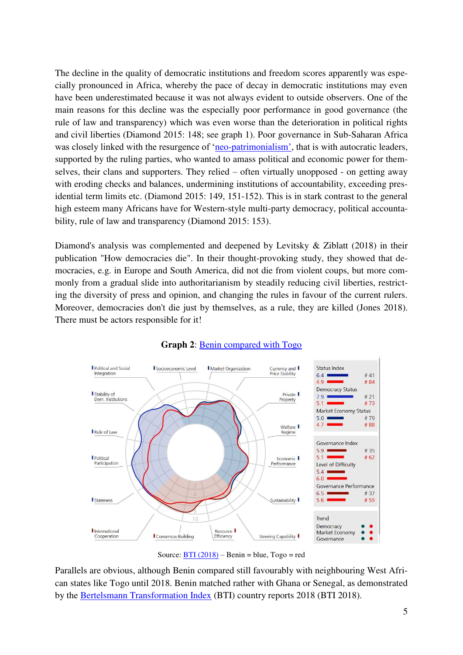The decline in the quality of democratic institutions and freedom scores apparently was especially pronounced in Africa, whereby the pace of decay in democratic institutions may even have been underestimated because it was not always evident to outside observers. One of the main reasons for this decline was the especially poor performance in good governance (the rule of law and transparency) which was even worse than the deterioration in political rights and civil liberties (Diamond 2015: 148; see graph 1). Poor governance in Sub-Saharan Africa was closely linked with the resurgence of 'neo-[patrimonialism'](https://en.wikipedia.org/wiki/Neopatrimonialism), that is with autocratic leaders, supported by the ruling parties, who wanted to amass political and economic power for themselves, their clans and supporters. They relied – often virtually unopposed - on getting away with eroding checks and balances, undermining institutions of accountability, exceeding presidential term limits etc. (Diamond 2015: 149, 151-152). This is in stark contrast to the general high esteem many Africans have for Western-style multi-party democracy, political accountability, rule of law and transparency (Diamond 2015: 153).

Diamond's analysis was complemented and deepened by Levitsky & Ziblatt (2018) in their publication "How democracies die". In their thought-provoking study, they showed that democracies, e.g. in Europe and South America, did not die from violent coups, but more commonly from a gradual slide into authoritarianism by steadily reducing civil liberties, restricting the diversity of press and opinion, and changing the rules in favour of the current rulers. Moreover, democracies don't die just by themselves, as a rule, they are killed (Jones 2018). There must be actors responsible for it!



### **Graph 2**: [Benin compared with Togo](https://atlas.bti-project.org/share.php?1*2018*CV:CTC:SELBEN*CAT*BEN*REG:TAB)

Source:  $\overline{BTI(2018)}$  – Benin = blue, Togo = red

Parallels are obvious, although Benin compared still favourably with neighbouring West African states like Togo until 2018. Benin matched rather with Ghana or Senegal, as demonstrated by the [Bertelsmann Transformation Index](https://www.bti-project.org/en/reports/country-reports/detail/itc/ben/) (BTI) country reports 2018 (BTI 2018).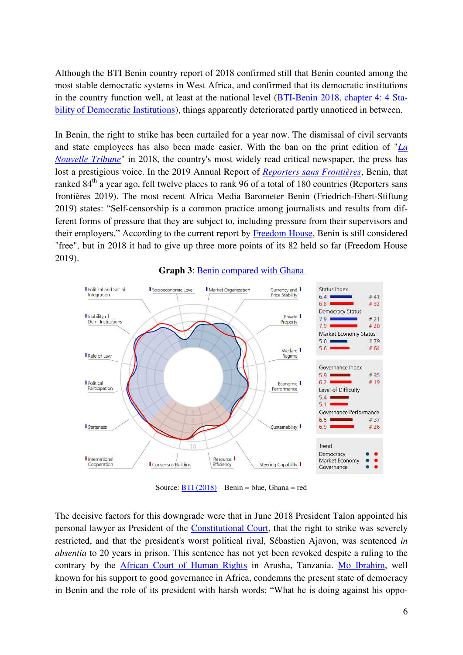Although the BTI Benin country report of 2018 confirmed still that Benin counted among the most stable democratic systems in West Africa, and confirmed that its democratic institutions in the country function well, at least at the national level [\(BTI-Benin 2018, chapter 4: 4 Sta](https://www.bti-project.org/en/reports/country-reports/detail/itc/ben/)[bility of Democratic Institutions\)](https://www.bti-project.org/en/reports/country-reports/detail/itc/ben/), things apparently deteriorated partly unnoticed in between.

In Benin, the right to strike has been curtailed for a year now. The dismissal of civil servants and state employees has also been made easier. With the ban on the print edition of "*[La](https://lanouvelletribune.info/)  [Nouvelle Tribune](https://lanouvelletribune.info/)*" in 2018, the country's most widely read critical newspaper, the press has lost a prestigious voice. In the 2019 Annual Report of *[Reporters sans Frontières](https://rsf.org/)*, Benin, that ranked 84<sup>th</sup> a year ago, fell twelve places to rank 96 of a total of 180 countries (Reporters sans frontières 2019). The most recent Africa Media Barometer Benin (Friedrich-Ebert-Stiftung 2019) states: "Self-censorship is a common practice among journalists and results from different forms of pressure that they are subject to, including pressure from their supervisors and their employers." According to the current report by [Freedom House,](https://freedomhouse.org/) Benin is still considered "free", but in 2018 it had to give up three more points of its 82 held so far (Freedom House 2019).



**Graph 3**: [Benin compared with Ghana](https://atlas.bti-project.org/share.php?1*2018*CV:CTC:SELBEN*CAT*BEN*REG:TAB)

Source:  $\overline{BTI (2018)}$  – Benin = blue, Ghana = red

The decisive factors for this downgrade were that in June 2018 President Talon appointed his personal lawyer as President of the [Constitutional Court,](https://fr.wikipedia.org/wiki/Cour_constitutionnelle_(B%C3%A9nin)) that the right to strike was severely restricted, and that the president's worst political rival, Sébastien Ajavon, was sentenced *in absentia* to 20 years in prison. This sentence has not yet been revoked despite a ruling to the contrary by the [African Court of Human Rights](https://en.wikipedia.org/wiki/African_Court_on_Human_and_Peoples%27_Rights) in Arusha, Tanzania. [Mo Ibrahim,](https://en.wikipedia.org/wiki/Mo_Ibrahim) well known for his support to good governance in Africa, condemns the present state of democracy in Benin and the role of its president with harsh words: "What he is doing against his oppo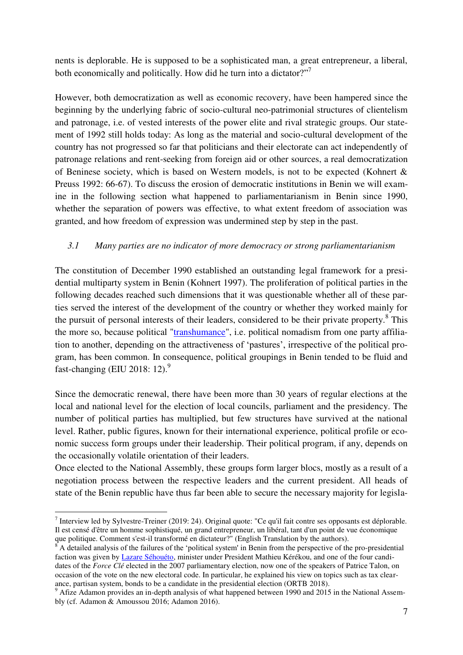nents is deplorable. He is supposed to be a sophisticated man, a great entrepreneur, a liberal, both economically and politically. How did he turn into a dictator?"<sup>7</sup>

However, both democratization as well as economic recovery, have been hampered since the beginning by the underlying fabric of socio-cultural neo-patrimonial structures of clientelism and patronage, i.e. of vested interests of the power elite and rival strategic groups. Our statement of 1992 still holds today: As long as the material and socio-cultural development of the country has not progressed so far that politicians and their electorate can act independently of patronage relations and rent-seeking from foreign aid or other sources, a real democratization of Beninese society, which is based on Western models, is not to be expected (Kohnert & Preuss 1992: 66-67). To discuss the erosion of democratic institutions in Benin we will examine in the following section what happened to parliamentarianism in Benin since 1990, whether the separation of powers was effective, to what extent freedom of association was granted, and how freedom of expression was undermined step by step in the past.

## *3.1 Many parties are no indicator of more democracy or strong parliamentarianism*

The constitution of December 1990 established an outstanding legal framework for a presidential multiparty system in Benin (Kohnert 1997). The proliferation of political parties in the following decades reached such dimensions that it was questionable whether all of these parties served the interest of the development of the country or whether they worked mainly for the pursuit of personal interests of their leaders, considered to be their private property.<sup>8</sup> This the more so, because political ["transhumance"](https://en.wikipedia.org/wiki/Transhumance), i.e. political nomadism from one party affiliation to another, depending on the attractiveness of 'pastures', irrespective of the political program, has been common. In consequence, political groupings in Benin tended to be fluid and fast-changing (EIU 2018: 12).<sup>9</sup>

Since the democratic renewal, there have been more than 30 years of regular elections at the local and national level for the election of local councils, parliament and the presidency. The number of political parties has multiplied, but few structures have survived at the national level. Rather, public figures, known for their international experience, political profile or economic success form groups under their leadership. Their political program, if any, depends on the occasionally volatile orientation of their leaders.

Once elected to the National Assembly, these groups form larger blocs, mostly as a result of a negotiation process between the respective leaders and the current president. All heads of state of the Benin republic have thus far been able to secure the necessary majority for legisla-

Interview led by Sylvestre-Treiner (2019: 24). Original quote: "Ce qu'il fait contre ses opposants est déplorable. Il est censé d'être un homme sophistiqué, un grand entrepreneur, un libéral, tant d'un point de vue économique que politique. Comment s'est-il transformé en dictateur?" (English Translation by the authors).

 $8$  A detailed analysis of the failures of the 'political system' in Benin from the perspective of the pro-presidential faction was given by [Lazare Séhouéto,](https://en.wikipedia.org/wiki/Lazare_S%C3%A8hou%C3%A9to) minister under President Mathieu Kérékou, and one of the four candidates of the *Force Clé* elected in the 2007 parliamentary election, now one of the speakers of Patrice Talon, on occasion of the vote on the new electoral code. In particular, he explained his view on topics such as tax clearance, partisan system, bonds to be a candidate in the presidential election (ORTB 2018).

<sup>&</sup>lt;sup>9</sup> Afize Adamon provides an in-depth analysis of what happened between 1990 and 2015 in the National Assembly (cf. Adamon & Amoussou 2016; Adamon 2016).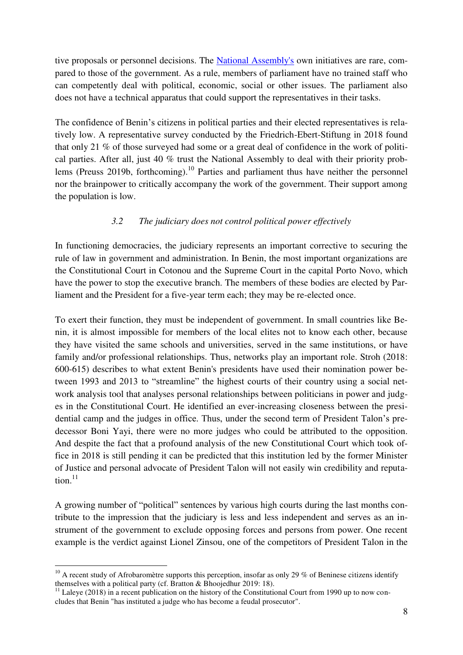tive proposals or personnel decisions. The [National Assembly's](https://fr.wikipedia.org/wiki/Assembl%C3%A9e_nationale_(B%C3%A9nin)) own initiatives are rare, compared to those of the government. As a rule, members of parliament have no trained staff who can competently deal with political, economic, social or other issues. The parliament also does not have a technical apparatus that could support the representatives in their tasks.

The confidence of Benin's citizens in political parties and their elected representatives is relatively low. A representative survey conducted by the Friedrich-Ebert-Stiftung in 2018 found that only 21 % of those surveyed had some or a great deal of confidence in the work of political parties. After all, just 40 % trust the National Assembly to deal with their priority problems (Preuss 2019b, forthcoming).<sup>10</sup> Parties and parliament thus have neither the personnel nor the brainpower to critically accompany the work of the government. Their support among the population is low.

### *3.2 The judiciary does not control political power effectively*

In functioning democracies, the judiciary represents an important corrective to securing the rule of law in government and administration. In Benin, the most important organizations are the [Constitutional Court](https://fr.wikipedia.org/wiki/Cour_constitutionnelle_(B%C3%A9nin)) in Cotonou and the [Supreme Court](https://fr.wikipedia.org/wiki/Cour_supr%C3%AAme_(B%C3%A9nin)) in the capital Porto Novo, which have the power to stop the executive branch. The members of these bodies are elected by Parliament and the President for a five-year term each; they may be re-elected once.

To exert their function, they must be independent of government. In small countries like Benin, it is almost impossible for members of the local elites not to know each other, because they have visited the same schools and universities, served in the same institutions, or have family and/or professional relationships. Thus, networks play an important role. Stroh (2018: 600-615) describes to what extent Benin's presidents have used their nomination power between 1993 and 2013 to "streamline" the highest courts of their country using a social network analysis tool that analyses personal relationships between politicians in power and judges in the Constitutional Court. He identified an ever-increasing closeness between the presidential camp and the judges in office. Thus, under the second term of President Talon's predecessor Boni Yayi, there were no more judges who could be attributed to the opposition. And despite the fact that a profound analysis of the new Constitutional Court which took office in 2018 is still pending it can be predicted that this institution led by the former Minister of Justice and personal advocate of President Talon will not easily win credibility and reputation. $11$ 

A growing number of "political" sentences by various high courts during the last months contribute to the impression that the judiciary is less and less independent and serves as an instrument of the government to exclude opposing forces and persons from power. One recent example is the verdict against Lionel Zinsou, one of the competitors of President Talon in the

 $10$  A recent study of Afrobaromètre supports this perception, insofar as only 29 % of Beninese citizens identify themselves with a political party (cf. Bratton & Bhoojedhur 2019: 18).

<sup>&</sup>lt;sup>11</sup> Laleye (2018) in a recent publication on the history of the Constitutional Court from 1990 up to now concludes that Benin "has instituted a judge who has become a feudal prosecutor".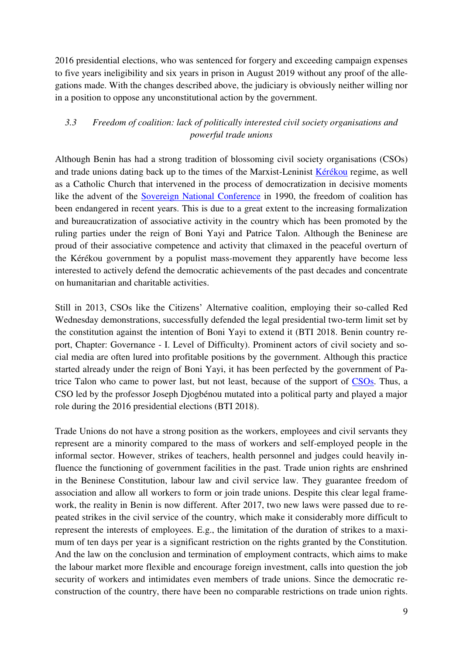2016 presidential elections, who was sentenced for forgery and exceeding campaign expenses to five years ineligibility and six years in prison in August 2019 without any proof of the allegations made. With the changes described above, the judiciary is obviously neither willing nor in a position to oppose any unconstitutional action by the government.

# *3.3 Freedom of coalition: lack of politically interested civil society organisations and powerful trade unions*

Although Benin has had a strong tradition of blossoming civil society organisations (CSOs) and trade unions dating back up to the times of the Marxist-Leninist [Kérékou](https://en.wikipedia.org/wiki/Mathieu_K%C3%A9r%C3%A9kou) regime, as well as a Catholic Church that intervened in the process of democratization in decisive moments like the advent of the **Sovereign National Conference** in 1990, the freedom of coalition has been endangered in recent years. This is due to a great extent to the increasing formalization and bureaucratization of associative activity in the country which has been promoted by the ruling parties under the reign of Boni Yayi and Patrice Talon. Although the Beninese are proud of their associative competence and activity that climaxed in the peaceful overturn of the Kérékou government by a populist mass-movement they apparently have become less interested to actively defend the democratic achievements of the past decades and concentrate on humanitarian and charitable activities.

Still in 2013, CSOs like the Citizens' Alternative coalition, employing their so-called Red Wednesday demonstrations, successfully defended the legal presidential two-term limit set by the constitution against the intention of Boni Yayi to extend it (BTI 2018. Benin country report, Chapter: Governance - I. Level of Difficulty). Prominent actors of civil society and social media are often lured into profitable positions by the government. Although this practice started already under the reign of Boni Yayi, it has been perfected by the government of Patrice Talon who came to power last, but not least, because of the support of [CSOs.](https://en.wikipedia.org/wiki/Civil_society_organization) Thus, a CSO led by the professor Joseph Djogbénou mutated into a political party and played a major role during the 2016 presidential elections (BTI 2018).

Trade Unions do not have a strong position as the workers, employees and civil servants they represent are a minority compared to the mass of workers and self-employed people in the informal sector. However, strikes of teachers, health personnel and judges could heavily influence the functioning of government facilities in the past. Trade union rights are enshrined in the Beninese Constitution, labour law and civil service law. They guarantee freedom of association and allow all workers to form or join trade unions. Despite this clear legal framework, the reality in Benin is now different. After 2017, two new laws were passed due to repeated strikes in the civil service of the country, which make it considerably more difficult to represent the interests of employees. E.g., the limitation of the duration of strikes to a maximum of ten days per year is a significant restriction on the rights granted by the Constitution. And the law on the conclusion and termination of employment contracts, which aims to make the labour market more flexible and encourage foreign investment, calls into question the job security of workers and intimidates even members of trade unions. Since the democratic reconstruction of the country, there have been no comparable restrictions on trade union rights.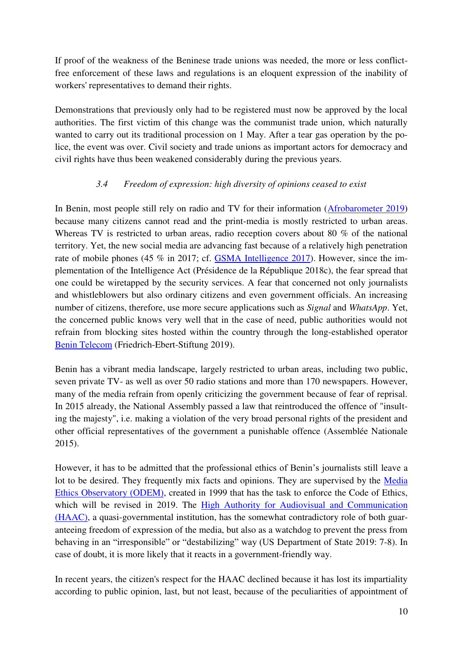If proof of the weakness of the Beninese trade unions was needed, the more or less conflictfree enforcement of these laws and regulations is an eloquent expression of the inability of workers' representatives to demand their rights.

Demonstrations that previously only had to be registered must now be approved by the local authorities. The first victim of this change was the communist trade union, which naturally wanted to carry out its traditional procession on 1 May. After a tear gas operation by the police, the event was over. Civil society and trade unions as important actors for democracy and civil rights have thus been weakened considerably during the previous years.

## *3.4 Freedom of expression: high diversity of opinions ceased to exist*

In Benin, most people still rely on radio and TV for their information [\(Afrobarometer 2019\)](https://afrobarometer.org/publications/ad269-au-benin-la-radio-et-la-tele-toujours-en-tete-malgre-une-avancee-des-nouveaux-0) because many citizens cannot read and the print-media is mostly restricted to urban areas. Whereas TV is restricted to urban areas, radio reception covers about 80 % of the national territory. Yet, the new social media are advancing fast because of a relatively high penetration rate of mobile phones (45 % in 2017; cf. [GSMA Intelligence 2017\)](https://www.gsmaintelligence.com/research/?file=7bf3592e6d750144e58d9dcfac6adfab&download). However, since the implementation of the Intelligence Act (Présidence de la République 2018c), the fear spread that one could be wiretapped by the security services. A fear that concerned not only journalists and whistleblowers but also ordinary citizens and even government officials. An increasing number of citizens, therefore, use more secure applications such as *Signal* and *WhatsApp*. Yet, the concerned public knows very well that in the case of need, public authorities would not refrain from blocking sites hosted within the country through the long-established operator [Benin Telecom](https://fr.wikipedia.org/wiki/B%C3%A9nin_T%C3%A9l%C3%A9coms_SA) (Friedrich-Ebert-Stiftung 2019).

Benin has a vibrant media landscape, largely restricted to urban areas, including two public, seven private TV- as well as over 50 radio stations and more than 170 newspapers. However, many of the media refrain from openly criticizing the government because of fear of reprisal. In 2015 already, the National Assembly passed a law that reintroduced the offence of "insulting the majesty", i.e. making a violation of the very broad personal rights of the president and other official representatives of the government a punishable offence (Assemblée Nationale 2015).

However, it has to be admitted that the professional ethics of Benin's journalists still leave a lot to be desired. They frequently mix facts and opinions. They are supervised by the [Media](http://www.odembenin.net/)  [Ethics Observatory \(ODEM\),](http://www.odembenin.net/) created in 1999 that has the task to enforce the Code of Ethics, which will be revised in 2019. The High Authority for Audiovisual and Communication [\(HAAC\),](https://fr.wikipedia.org/wiki/Haute_Autorit%C3%A9_de_l%E2%80%99audiovisuel_et_de_la_communication_(B%C3%A9nin)) a quasi-governmental institution, has the somewhat contradictory role of both guaranteeing freedom of expression of the media, but also as a watchdog to prevent the press from behaving in an "irresponsible" or "destabilizing" way (US Department of State 2019: 7-8). In case of doubt, it is more likely that it reacts in a government-friendly way.

In recent years, the citizen's respect for the HAAC declined because it has lost its impartiality according to public opinion, last, but not least, because of the peculiarities of appointment of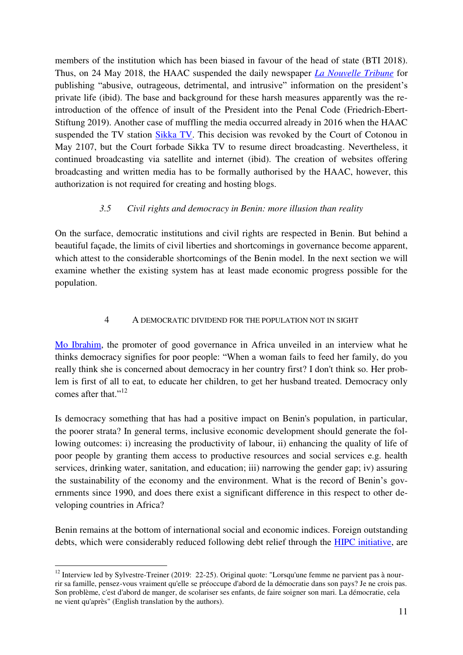members of the institution which has been biased in favour of the head of state (BTI 2018). Thus, on 24 May 2018, the HAAC suspended the daily newspaper *[La Nouvelle Tribune](https://fr.wikipedia.org/wiki/La_Nouvelle_Tribune_(B%C3%A9nin))* for publishing "abusive, outrageous, detrimental, and intrusive" information on the president's private life (ibid). The base and background for these harsh measures apparently was the reintroduction of the offence of insult of the President into the Penal Code (Friedrich-Ebert-Stiftung 2019). Another case of muffling the media occurred already in 2016 when the HAAC suspended the TV station [Sikka TV.](https://fr.wikipedia.org/wiki/S%C3%A9bastien_Ajavon) This decision was revoked by the Court of Cotonou in May 2107, but the Court forbade Sikka TV to resume direct broadcasting. Nevertheless, it continued broadcasting via satellite and internet (ibid). The creation of websites offering broadcasting and written media has to be formally authorised by the HAAC, however, this authorization is not required for creating and hosting blogs.

### *3.5 Civil rights and democracy in Benin: more illusion than reality*

On the surface, democratic institutions and civil rights are respected in Benin. But behind a beautiful façade, the limits of civil liberties and shortcomings in governance become apparent, which attest to the considerable shortcomings of the Benin model. In the next section we will examine whether the existing system has at least made economic progress possible for the population.

## 4 A DEMOCRATIC DIVIDEND FOR THE POPULATION NOT IN SIGHT

[Mo Ibrahim,](https://en.wikipedia.org/wiki/Mo_Ibrahim) the promoter of good governance in Africa unveiled in an interview what he thinks democracy signifies for poor people: "When a woman fails to feed her family, do you really think she is concerned about democracy in her country first? I don't think so. Her problem is first of all to eat, to educate her children, to get her husband treated. Democracy only comes after that."<sup>12</sup>

Is democracy something that has had a positive impact on Benin's population, in particular, the poorer strata? In general terms, inclusive economic development should generate the following outcomes: i) increasing the productivity of labour, ii) enhancing the quality of life of poor people by granting them access to productive resources and social services e.g. health services, drinking water, sanitation, and education; iii) narrowing the gender gap; iv) assuring the sustainability of the economy and the environment. What is the record of Benin's governments since 1990, and does there exist a significant difference in this respect to other developing countries in Africa?

Benin remains at the bottom of international social and economic indices. Foreign outstanding debts, which were considerably reduced following debt relief through the [HIPC initiative,](https://en.wikipedia.org/wiki/Heavily_indebted_poor_countries) are

<sup>&</sup>lt;sup>12</sup> Interview led by Sylvestre-Treiner (2019: 22-25). Original quote: "Lorsqu'une femme ne parvient pas à nourrir sa famille, pensez-vous vraiment qu'elle se préoccupe d'abord de la démocratie dans son pays? Je ne crois pas. Son problème, c'est d'abord de manger, de scolariser ses enfants, de faire soigner son mari. La démocratie, cela ne vient qu'après" (English translation by the authors).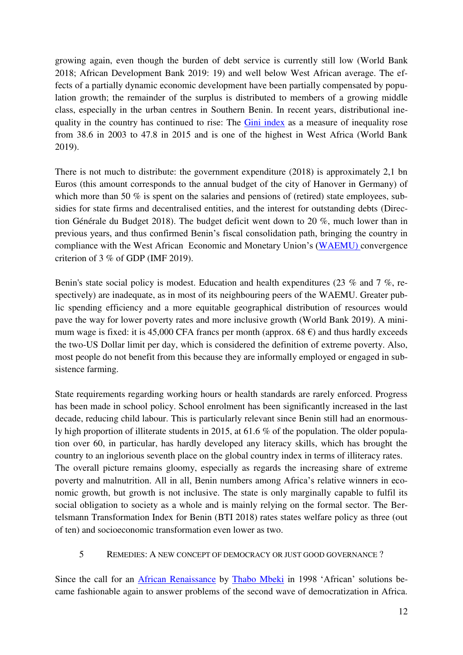growing again, even though the burden of debt service is currently still low (World Bank 2018; African Development Bank 2019: 19) and well below West African average. The effects of a partially dynamic economic development have been partially compensated by population growth; the remainder of the surplus is distributed to members of a growing middle class, especially in the urban centres in Southern Benin. In recent years, distributional inequality in the country has continued to rise: The [Gini index](https://en.wikipedia.org/wiki/Gini_coefficient) as a measure of inequality rose from 38.6 in 2003 to 47.8 in 2015 and is one of the highest in West Africa (World Bank 2019).

There is not much to distribute: the government expenditure (2018) is approximately 2,1 bn Euros (this amount corresponds to the annual budget of the city of Hanover in Germany) of which more than 50 % is spent on the salaries and pensions of (retired) state employees, subsidies for state firms and decentralised entities, and the interest for outstanding debts (Direction Générale du Budget 2018). The budget deficit went down to 20 %, much lower than in previous years, and thus confirmed Benin's fiscal consolidation path, bringing the country in compliance with the West African Economic and Monetary Union's ([WAEMU\)](https://en.wikipedia.org/wiki/Economic_Community_of_West_African_States) convergence criterion of 3 % of GDP (IMF 2019).

Benin's state social policy is modest. Education and health expenditures (23 % and 7 %, respectively) are inadequate, as in most of its neighbouring peers of the WAEMU. Greater public spending efficiency and a more equitable geographical distribution of resources would pave the way for lower poverty rates and more inclusive growth (World Bank 2019). A minimum wage is fixed: it is 45,000 CFA francs per month (approx.  $68 \text{ } \epsilon$ ) and thus hardly exceeds the two-US Dollar limit per day, which is considered the definition of extreme poverty. Also, most people do not benefit from this because they are informally employed or engaged in subsistence farming.

State requirements regarding working hours or health standards are rarely enforced. Progress has been made in school policy. School enrolment has been significantly increased in the last decade, reducing child labour. This is particularly relevant since Benin still had an enormously high proportion of illiterate students in 2015, at 61.6 % of the population. The older population over 60, in particular, has hardly developed any literacy skills, which has brought the country to an inglorious seventh place on the global country index in terms of illiteracy rates. The overall picture remains gloomy, especially as regards the increasing share of extreme poverty and malnutrition. All in all, Benin numbers among Africa's relative winners in economic growth, but growth is not inclusive. The state is only marginally capable to fulfil its social obligation to society as a whole and is mainly relying on the formal sector. The Bertelsmann Transformation Index for Benin (BTI 2018) rates states welfare policy as three (out of ten) and socioeconomic transformation even lower as two.

### 5 REMEDIES: A NEW CONCEPT OF DEMOCRACY OR JUST GOOD GOVERNANCE ?

Since the call for an [African Renaissance](https://en.wikipedia.org/wiki/African_Renaissance) by [Thabo Mbeki](https://en.wikipedia.org/wiki/Thabo_Mbeki) in 1998 'African' solutions became fashionable again to answer problems of the second wave of democratization in Africa.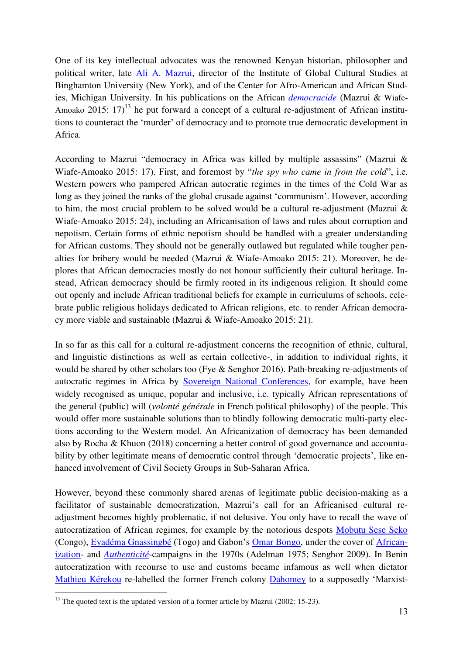One of its key intellectual advocates was the renowned Kenyan historian, philosopher and political writer, late [Ali A. Mazrui,](https://en.wikipedia.org/wiki/Ali_Mazrui) director of the Institute of Global Cultural Studies at Binghamton University (New York), and of the Center for Afro-American and African Studies, Michigan University. In his publications on the African *[democracide](https://en.wiktionary.org/wiki/democracide)* (Mazrui & Wiafe-Amoako 2015:  $17$ <sup>13</sup> he put forward a concept of a cultural re-adjustment of African institutions to counteract the 'murder' of democracy and to promote true democratic development in Africa.

According to Mazrui "democracy in Africa was killed by multiple assassins" (Mazrui & Wiafe-Amoako 2015: 17). First, and foremost by "*the spy who came in from the cold*", i.e. Western powers who pampered African autocratic regimes in the times of the Cold War as long as they joined the ranks of the global crusade against 'communism'. However, according to him, the most crucial problem to be solved would be a cultural re-adjustment (Mazrui & Wiafe-Amoako 2015: 24), including an Africanisation of laws and rules about corruption and nepotism. Certain forms of ethnic nepotism should be handled with a greater understanding for African customs. They should not be generally outlawed but regulated while tougher penalties for bribery would be needed (Mazrui & Wiafe-Amoako 2015: 21). Moreover, he deplores that African democracies mostly do not honour sufficiently their cultural heritage. Instead, African democracy should be firmly rooted in its indigenous religion. It should come out openly and include African traditional beliefs for example in curriculums of schools, celebrate public religious holidays dedicated to African religions, etc. to render African democracy more viable and sustainable (Mazrui & Wiafe-Amoako 2015: 21).

In so far as this call for a cultural re-adjustment concerns the recognition of ethnic, cultural, and linguistic distinctions as well as certain collective-, in addition to individual rights, it would be shared by other scholars too (Fye & Senghor 2016). Path-breaking re-adjustments of autocratic regimes in Africa by [Sovereign National Conferences,](https://fr.wikipedia.org/wiki/Conf%C3%A9rence_nationale_souveraine_(B%C3%A9nin)) for example, have been widely recognised as unique, popular and inclusive, i.e. typically African representations of the general (public) will (*volonté générale* in French political philosophy) of the people. This would offer more sustainable solutions than to blindly following democratic multi-party elections according to the Western model. An Africanization of democracy has been demanded also by Rocha & Khuon (2018) concerning a better control of good governance and accountability by other legitimate means of democratic control through 'democratic projects', like enhanced involvement of Civil Society Groups in Sub-Saharan Africa.

However, beyond these commonly shared arenas of legitimate public decision-making as a facilitator of sustainable democratization, Mazrui's call for an Africanised cultural readjustment becomes highly problematic, if not delusive. You only have to recall the wave of autocratization of African regimes, for example by the notorious despots [Mobutu Sese Seko](https://en.wikipedia.org/wiki/Mobutu_Sese_Seko) (Congo), [Eyadéma Gnassingbé](https://en.wikipedia.org/wiki/Gnassingb%C3%A9_Eyad%C3%A9ma) (Togo) and Gabon's [Omar Bongo,](https://en.wikipedia.org/wiki/Omar_Bongo) under the cover of [African](https://en.wikipedia.org/wiki/Africanization)[ization-](https://en.wikipedia.org/wiki/Africanization) and *[Authenticité](https://en.wikipedia.org/wiki/Authenticit%C3%A9_(Zaire))*-campaigns in the 1970s (Adelman 1975; Senghor 2009). In Benin autocratization with recourse to use and customs became infamous as well when dictator [Mathieu Kérekou](https://en.wikipedia.org/wiki/Mathieu_K%C3%A9r%C3%A9kou) re-labelled the former French colony [Dahomey](https://en.wikipedia.org/wiki/Republic_of_Dahomey) to a supposedly 'Marxist-

 $13$  The quoted text is the updated version of a former article by Mazrui (2002: 15-23).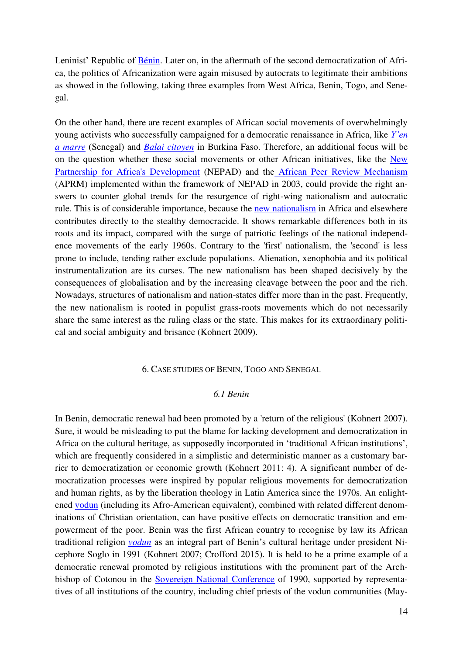Leninist' Republic of [Bénin.](https://en.wikipedia.org/wiki/Benin) Later on, in the aftermath of the second democratization of Africa, the politics of Africanization were again misused by autocrats to legitimate their ambitions as showed in the following, taking three examples from West Africa, Benin, Togo, and Senegal.

On the other hand, there are recent examples of African social movements of overwhelmingly young activists who successfully campaigned for a democratic renaissance in Africa, like *[Y'en](https://en.wikipedia.org/wiki/Y%27en_a_Marre)  [a marre](https://en.wikipedia.org/wiki/Y%27en_a_Marre)* (Senegal) and *[Balai citoyen](https://en.wikipedia.org/wiki/Le_Balai_Citoyen)* in Burkina Faso. Therefore, an additional focus will be on the question whether these social movements or other African initiatives, like the [New](https://en.wikipedia.org/wiki/African_Renaissance)  [Partnership for Africa's Development](https://en.wikipedia.org/wiki/African_Renaissance) (NEPAD) and th[e African Peer Review Mechanism](http://www.wikizero.biz/index.php?q=aHR0cHM6Ly9lbi53aWtpcGVkaWEub3JnL3dpa2kvQWZyaWNhbl9QZWVyX1Jldmlld19NZWNoYW5pc20) (APRM) implemented within the framework of NEPAD in 2003, could provide the right answers to counter global trends for the resurgence of right-wing nationalism and autocratic rule. This is of considerable importance, because the [new nationalism](https://en.wikipedia.org/wiki/Neo-nationalism) in Africa and elsewhere contributes directly to the stealthy democracide. It shows remarkable differences both in its roots and its impact, compared with the surge of patriotic feelings of the national independence movements of the early 1960s. Contrary to the 'first' nationalism, the 'second' is less prone to include, tending rather exclude populations. Alienation, xenophobia and its political instrumentalization are its curses. The new nationalism has been shaped decisively by the consequences of globalisation and by the increasing cleavage between the poor and the rich. Nowadays, structures of nationalism and nation-states differ more than in the past. Frequently, the new nationalism is rooted in populist grass-roots movements which do not necessarily share the same interest as the ruling class or the state. This makes for its extraordinary political and social ambiguity and brisance (Kohnert 2009).

#### 6. CASE STUDIES OF BENIN, TOGO AND SENEGAL

#### *6.1 Benin*

In Benin, democratic renewal had been promoted by a 'return of the religious' (Kohnert 2007). Sure, it would be misleading to put the blame for lacking development and democratization in Africa on the cultural heritage, as supposedly incorporated in 'traditional African institutions', which are frequently considered in a simplistic and deterministic manner as a customary barrier to democratization or economic growth (Kohnert 2011: 4). A significant number of democratization processes were inspired by popular religious movements for democratization and human rights, as by the liberation theology in Latin America since the 1970s. An enlightened [vodun](https://en.wikipedia.org/wiki/West_African_Vodun) (including its Afro-American equivalent), combined with related different denominations of Christian orientation, can have positive effects on democratic transition and empowerment of the poor. Benin was the first African country to recognise by law its African traditional religion *[vodun](https://en.wikipedia.org/wiki/West_African_Vodun)* as an integral part of Benin's cultural heritage under president Nicephore Soglo in 1991 (Kohnert 2007; Crofford 2015). It is held to be a prime example of a democratic renewal promoted by religious institutions with the prominent part of the Archbishop of Cotonou in the [Sovereign National Conference](https://fr.wikipedia.org/wiki/Conf%C3%A9rence_nationale_souveraine_(B%C3%A9nin)) of 1990, supported by representatives of all institutions of the country, including chief priests of the vodun communities (May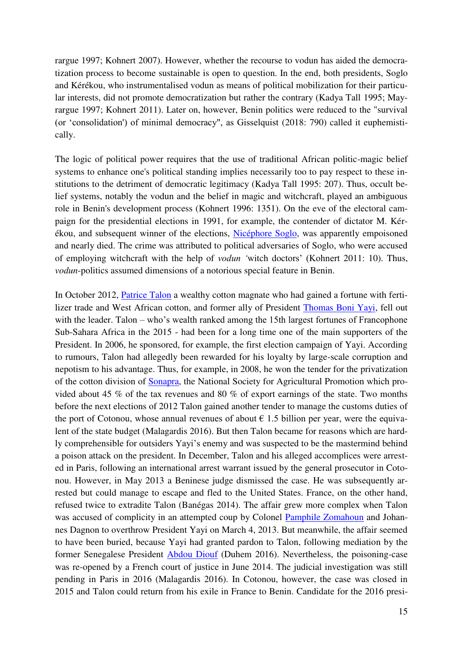rargue 1997; Kohnert 2007). However, whether the recourse to vodun has aided the democratization process to become sustainable is open to question. In the end, both presidents, Soglo and Kérékou, who instrumentalised vodun as means of political mobilization for their particular interests, did not promote democratization but rather the contrary (Kadya Tall 1995; Mayrargue 1997; Kohnert 2011). Later on, however, Benin politics were reduced to the "survival (or 'consolidation') of minimal democracy", as Gisselquist (2018: 790) called it euphemistically.

The logic of political power requires that the use of traditional African politic-magic belief systems to enhance one's political standing implies necessarily too to pay respect to these institutions to the detriment of democratic legitimacy (Kadya Tall 1995: 207). Thus, occult belief systems, notably the vodun and the belief in magic and witchcraft, played an ambiguous role in Benin's development process (Kohnert 1996: 1351). On the eve of the electoral campaign for the presidential elections in 1991, for example, the contender of dictator M. Kérékou, and subsequent winner of the elections, [Nicéphore Soglo,](https://en.wikipedia.org/wiki/Nic%C3%A9phore_Soglo) was apparently empoisoned and nearly died. The crime was attributed to political adversaries of Soglo, who were accused of employing witchcraft with the help of *vodun '*witch doctors' (Kohnert 2011: 10). Thus, *vodun*-politics assumed dimensions of a notorious special feature in Benin.

In October 2012, [Patrice Talon](https://en.wikipedia.org/wiki/Patrice_Talon) a wealthy cotton magnate who had gained a fortune with fertilizer trade and West African cotton, and former ally of President [Thomas Boni Yayi,](https://en.wikipedia.org/wiki/Thomas_Boni_Yayi) fell out with the leader. Talon – who's wealth ranked among the 15th largest fortunes of Francophone Sub-Sahara Africa in the 2015 - had been for a long time one of the main supporters of the President. In 2006, he sponsored, for example, the first election campaign of Yayi. According to rumours, Talon had allegedly been rewarded for his loyalty by large-scale corruption and nepotism to his advantage. Thus, for example, in 2008, he won the tender for the privatization of the cotton division of [Sonapra,](https://fr.wikipedia.org/wiki/Soci%C3%A9t%C3%A9_nationale_pour_la_promotion_agricole) the National Society for Agricultural Promotion which provided about 45 % of the tax revenues and 80 % of export earnings of the state. Two months before the next elections of 2012 Talon gained another tender to manage the customs duties of the port of Cotonou, whose annual revenues of about  $\epsilon$  1.5 billion per year, were the equivalent of the state budget (Malagardis 2016). But then Talon became for reasons which are hardly comprehensible for outsiders Yayi's enemy and was suspected to be the mastermind behind a poison attack on the president. In December, Talon and his alleged accomplices were arrested in Paris, following an international arrest warrant issued by the general prosecutor in Cotonou. However, in May 2013 a Beninese judge dismissed the case. He was subsequently arrested but could manage to escape and fled to the United States. France, on the other hand, refused twice to extradite Talon (Banégas 2014). The affair grew more complex when Talon was accused of complicity in an attempted coup by Colonel [Pamphile Zomahoun](https://fr.wikipedia.org/wiki/Pamphile_Zomahoun) and Johannes Dagnon to overthrow President Yayi on March 4, 2013. But meanwhile, the affair seemed to have been buried, because Yayi had granted pardon to Talon, following mediation by the former Senegalese President [Abdou Diouf](https://en.wikipedia.org/wiki/Abdou_Diouf) (Duhem 2016). Nevertheless, the poisoning-case was re-opened by a French court of justice in June 2014. The judicial investigation was still pending in Paris in 2016 (Malagardis 2016). In Cotonou, however, the case was closed in 2015 and Talon could return from his exile in France to Benin. Candidate for the 2016 presi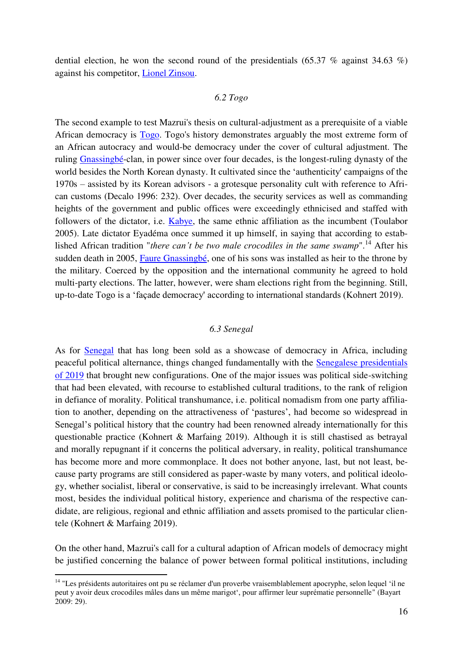dential election, he won the second round of the presidentials  $(65.37 \%$  against 34.63 %) against his competitor, [Lionel Zinsou.](https://en.wikipedia.org/wiki/Lionel_Zinsou)

#### *6.2 Togo*

The second example to test Mazrui's thesis on cultural-adjustment as a prerequisite of a viable African democracy is [Togo.](https://en.wikipedia.org/wiki/Togo) Togo's history demonstrates arguably the most extreme form of an African autocracy and would-be democracy under the cover of cultural adjustment. The ruling [Gnassingbé-](https://en.wikipedia.org/wiki/Gnassingb%C3%A9_Eyad%C3%A9ma)clan, in power since over four decades, is the longest-ruling dynasty of the world besides the North Korean dynasty. It cultivated since the 'authenticity' campaigns of the 1970s – assisted by its Korean advisors - a grotesque personality cult with reference to African customs (Decalo 1996: 232). Over decades, the security services as well as commanding heights of the government and public offices were exceedingly ethnicised and staffed with followers of the dictator, i.e. [Kabye,](https://en.wikipedia.org/wiki/Kabye_people) the same ethnic affiliation as the incumbent (Toulabor 2005). Late dictator Eyadéma once summed it up himself, in saying that according to established African tradition "*there can't be two male crocodiles in the same swamp*".<sup>14</sup> After his sudden death in 2005, [Faure Gnassingbé,](https://en.wikipedia.org/wiki/Faure_Gnassingb%C3%A9) one of his sons was installed as heir to the throne by the military. Coerced by the opposition and the international community he agreed to hold multi-party elections. The latter, however, were sham elections right from the beginning. Still, up-to-date Togo is a 'façade democracy' according to international standards (Kohnert 2019).

#### *6.3 Senegal*

As for [Senegal](https://en.wikipedia.org/wiki/Senegal) that has long been sold as a showcase of democracy in Africa, including peaceful political alternance, things changed fundamentally with the [Senegalese presidentials](https://en.wikipedia.org/wiki/2019_Senegalese_presidential_election)  [of 2019](https://en.wikipedia.org/wiki/2019_Senegalese_presidential_election) that brought new configurations. One of the major issues was political side-switching that had been elevated, with recourse to established cultural traditions, to the rank of religion in defiance of morality. Political transhumance, i.e. political nomadism from one party affiliation to another, depending on the attractiveness of 'pastures', had become so widespread in Senegal's political history that the country had been renowned already internationally for this questionable practice (Kohnert & Marfaing 2019). Although it is still chastised as betrayal and morally repugnant if it concerns the political adversary, in reality, political transhumance has become more and more commonplace. It does not bother anyone, last, but not least, because party programs are still considered as paper-waste by many voters, and political ideology, whether socialist, liberal or conservative, is said to be increasingly irrelevant. What counts most, besides the individual political history, experience and charisma of the respective candidate, are religious, regional and ethnic affiliation and assets promised to the particular clientele (Kohnert & Marfaing 2019).

On the other hand, Mazrui's call for a cultural adaption of African models of democracy might be justified concerning the balance of power between formal political institutions, including

1

<sup>&</sup>lt;sup>14</sup> "Les présidents autoritaires ont pu se réclamer d'un proverbe vraisemblablement apocryphe, selon lequel 'il ne peut y avoir deux crocodiles mâles dans un même marigot', pour affirmer leur suprématie personnelle" (Bayart 2009: 29).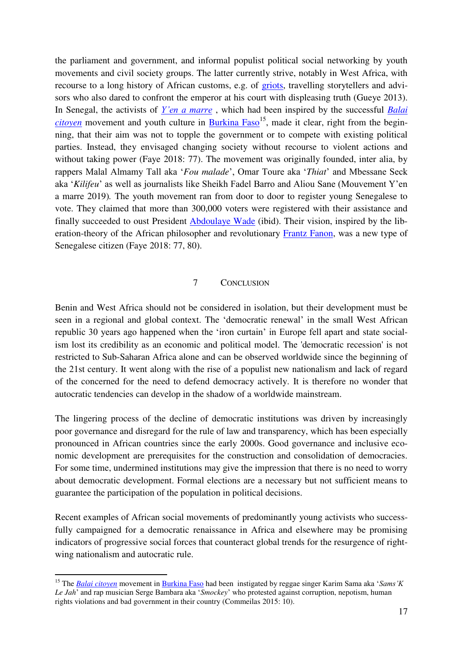the parliament and government, and informal populist political social networking by youth movements and civil society groups. The latter currently strive, notably in West Africa, with recourse to a long history of African customs, e.g. of [griots,](https://en.wikipedia.org/wiki/Griot) travelling storytellers and advisors who also dared to confront the emperor at his court with displeasing truth (Gueye 2013). In Senegal, the activists of *[Y'en a marre](https://en.wikipedia.org/wiki/Y%27en_a_Marre)* , which had been inspired by the successful *[Balai](https://en.wikipedia.org/wiki/Le_Balai_Citoyen)  [citoyen](https://en.wikipedia.org/wiki/Le_Balai_Citoyen)* movement and youth culture in Burkina  $Faso<sup>15</sup>$ , made it clear, right from the beginning, that their aim was not to topple the government or to compete with existing political parties. Instead, they envisaged changing society without recourse to violent actions and without taking power (Faye 2018: 77). The movement was originally founded, inter alia, by rappers Malal Almamy Tall aka '*Fou malade*', Omar Toure aka '*Thiat*' and Mbessane Seck aka '*Kilifeu*' as well as journalists like Sheikh Fadel Barro and Aliou Sane (Mouvement Y'en a marre 2019)*.* The youth movement ran from door to door to register young Senegalese to vote. They claimed that more than 300,000 voters were registered with their assistance and finally succeeded to oust President [Abdoulaye Wade](https://en.wikipedia.org/wiki/Abdoulaye_Wade) (ibid). Their vision, inspired by the lib-eration-theory of the African philosopher and revolutionary [Frantz Fanon,](https://en.wikipedia.org/wiki/Frantz_Fanon) was a new type of Senegalese citizen (Faye 2018: 77, 80).

#### 7 CONCLUSION

Benin and West Africa should not be considered in isolation, but their development must be seen in a regional and global context. The 'democratic renewal' in the small West African republic 30 years ago happened when the 'iron curtain' in Europe fell apart and state socialism lost its credibility as an economic and political model. The 'democratic recession' is not restricted to Sub-Saharan Africa alone and can be observed worldwide since the beginning of the 21st century. It went along with the rise of a populist new nationalism and lack of regard of the concerned for the need to defend democracy actively. It is therefore no wonder that autocratic tendencies can develop in the shadow of a worldwide mainstream.

The lingering process of the decline of democratic institutions was driven by increasingly poor governance and disregard for the rule of law and transparency, which has been especially pronounced in African countries since the early 2000s. Good governance and inclusive economic development are prerequisites for the construction and consolidation of democracies. For some time, undermined institutions may give the impression that there is no need to worry about democratic development. Formal elections are a necessary but not sufficient means to guarantee the participation of the population in political decisions.

Recent examples of African social movements of predominantly young activists who successfully campaigned for a democratic renaissance in Africa and elsewhere may be promising indicators of progressive social forces that counteract global trends for the resurgence of rightwing nationalism and autocratic rule.

1

<sup>15</sup> The *[Balai citoyen](https://en.wikipedia.org/wiki/Le_Balai_Citoyen)* movement in [Burkina Faso](https://en.wikipedia.org/wiki/Burkina_Faso) had been instigated by reggae singer Karim Sama aka '*Sams'K Le Jah*' and rap musician Serge Bambara aka '*Smockey*' who protested against corruption, nepotism, human rights violations and bad government in their country (Commeilas 2015: 10).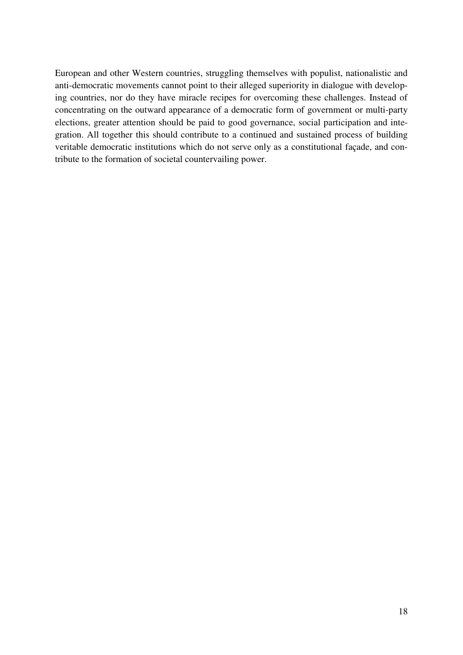European and other Western countries, struggling themselves with populist, nationalistic and anti-democratic movements cannot point to their alleged superiority in dialogue with developing countries, nor do they have miracle recipes for overcoming these challenges. Instead of concentrating on the outward appearance of a democratic form of government or multi-party elections, greater attention should be paid to good governance, social participation and integration. All together this should contribute to a continued and sustained process of building veritable democratic institutions which do not serve only as a constitutional façade, and contribute to the formation of societal countervailing power.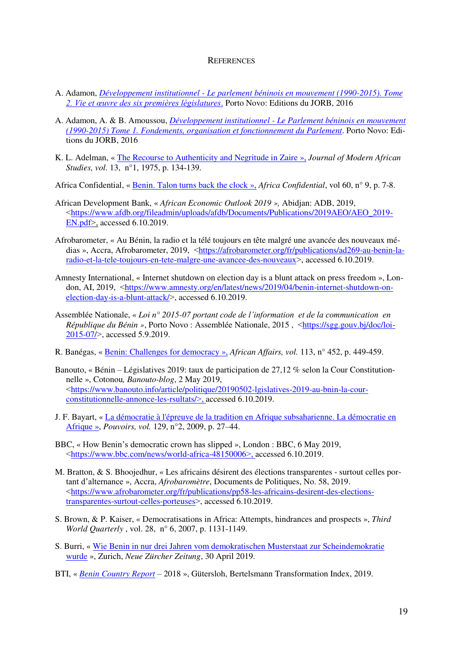#### **REFERENCES**

- A. Adamon, *[Développement institutionnel Le parlement béninois en mouvement \(1990-2015\). Tome](https://www.franklin.library.upenn.edu/catalog/FRANKLIN_9977239740203681)  [2. Vie et œuvre des six premières législatures](https://www.franklin.library.upenn.edu/catalog/FRANKLIN_9977239740203681)*. Porto Novo: Editions du JORB, 2016
- A. Adamon, A. & B. Amoussou, *[Développement institutionnel Le Parlement béninois en mouvement](https://www.worldcat.org/title/developpement-institutionnel-le-parlement-beninois-en-mouvement-1990-2015-tome-1-fondements-organisation-et-fonctionnement-du-parlement/oclc/1010746602)  [\(1990-2015\) Tome 1. Fondements, organisation et fonctionnement du Parlement](https://www.worldcat.org/title/developpement-institutionnel-le-parlement-beninois-en-mouvement-1990-2015-tome-1-fondements-organisation-et-fonctionnement-du-parlement/oclc/1010746602)*. Porto Novo: Editions du JORB, 2016
- K. L. Adelman, « [The Recourse to Authenticity and Negritude in Zaire](https://www.cambridge.org/core/journals/journal-of-modern-african-studies/article/recourse-to-authenticity-and-negritude-in-zaire/D179227DD6699F014230FD3556C15081) », *Journal of Modern African Studies, vol.* 13, n°1, 1975, p. 134-139.

Africa Confidential, « [Benin. Talon turns back the clock](https://www.africa-confidential.com/article-preview/id/12630/Talon_turns_back_the_clock) », *Africa Confidential*, vol 60, n° 9, p. 7-8.

- African Development Bank, « *African Economic Outlook 2019 »,* Abidjan: ADB, 2019, ˂[https://www.afdb.org/fileadmin/uploads/afdb/Documents/Publications/2019AEO/AEO\\_2019-](https://www.afdb.org/fileadmin/uploads/afdb/Documents/Publications/2019AEO/AEO_2019-EN.pdf)  $EN.pdf$ , accessed 6.10.2019.
- Afrobarometer, « Au Bénin, la radio et la télé toujours en tête malgré une avancée des nouveaux médias », Accra, Afrobarometer, 2019, <[https://afrobarometer.org/fr/publications/ad269-au-benin-la](https://afrobarometer.org/fr/publications/ad269-au-benin-la-radio-et-la-tele-toujours-en-tete-malgre-une-avancee-des-nouveaux)[radio-et-la-tele-toujours-en-tete-malgre-une-avancee-des-nouveaux](https://afrobarometer.org/fr/publications/ad269-au-benin-la-radio-et-la-tele-toujours-en-tete-malgre-une-avancee-des-nouveaux)>, accessed 6.10.2019.
- Amnesty International, « Internet shutdown on election day is a blunt attack on press freedom », London, AI, 2019, ˂[https://www.amnesty.org/en/latest/news/2019/04/benin-internet-shutdown-on](https://www.amnesty.org/en/latest/news/2019/04/benin-internet-shutdown-on-election-day-is-a-blunt-attack/)[election-day-is-a-blunt-attack/](https://www.amnesty.org/en/latest/news/2019/04/benin-internet-shutdown-on-election-day-is-a-blunt-attack/) $>$ , accessed 6.10.2019.
- Assemblée Nationale, « *Loi n° 2015-07 portant code de l'information et de la communication en République du Bénin »*, Porto Novo : Assemblée Nationale, 2015, <[https://sgg.gouv.bj/doc/loi-](https://sgg.gouv.bj/doc/loi-2015-07/)[2015-07/](https://sgg.gouv.bj/doc/loi-2015-07/)˃, accessed 5.9.2019.
- R. Banégas, [« Benin: Challenges for democracy](https://academic.oup.com/afraf/article-abstract/113/452/449/78451) », *African Affairs, vol.* 113, n° 452, p. 449-459.
- Banouto, « Bénin Législatives 2019: taux de participation de 27,12 % selon la Cour Constitutionnelle », Cotonou*, Banouto-blog*, 2 May 2019, ˂[https://www.banouto.info/article/politique/20190502-lgislatives-2019-au-bnin-la-cour](https://www.banouto.info/article/politique/20190502-lgislatives-2019-au-bnin-la-cour-constitutionnelle-annonce-les-rsultats/)[constitutionnelle-annonce-les-rsultats/](https://www.banouto.info/article/politique/20190502-lgislatives-2019-au-bnin-la-cour-constitutionnelle-annonce-les-rsultats/)˃, accessed 6.10.2019.
- J. F. Bayart, « La démocratie à l'épreuve de la tradition en Afrique subsaharienne. La démocratie en [Afrique](https://www.cairn.info/revue-pouvoirs-2009-2-page-27.htm) », *Pouvoirs, vol.* 129, n°2, 2009, p. 27–44.
- BBC, « How Benin's democratic crown has slipped », London : BBC, 6 May 2019, ˂<https://www.bbc.com/news/world-africa-48150006>˃, accessed 6.10.2019.
- M. Bratton, & S. Bhoojedhur, « Les africains désirent des élections transparentes surtout celles portant d'alternance », Accra, *Afrobaromètre*, Documents de Politiques, No. 58, 2019. ˂[https://www.afrobarometer.org/fr/publications/pp58-les-africains-desirent-des-elections](https://www.afrobarometer.org/fr/publications/pp58-les-africains-desirent-des-elections-transparentes-surtout-celles-porteuses)[transparentes-surtout-celles-porteuses](https://www.afrobarometer.org/fr/publications/pp58-les-africains-desirent-des-elections-transparentes-surtout-celles-porteuses)˃, accessed 6.10.2019.
- S. Brown, & P. Kaiser, « Democratisations in Africa: Attempts, hindrances and prospects », *Third World Quarterly* , vol. 28, n° 6, 2007, p. 1131-1149.
- S. Burri, « [Wie Benin in nur drei Jahren vom demokratischen Musterstaat zur Scheindemokratie](https://www.nzz.ch/international/benin-ein-einstiger-musterstaat-wird-zur-scheindemokratie-ld.1478415)  [wurde](https://www.nzz.ch/international/benin-ein-einstiger-musterstaat-wird-zur-scheindemokratie-ld.1478415) », Zurich, *Neue Zürcher Zeitung*, 30 April 2019.
- BTI, « *[Benin Country Report](https://www.bti-project.org/en/reports/country-reports/detail/itc/ben/)* 2018 », Gütersloh, Bertelsmann Transformation Index, 2019.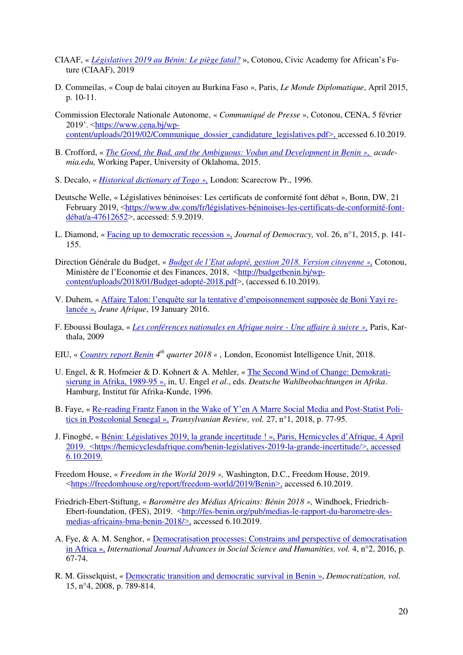- CIAAF, « *[Législatives 2019 au Bénin: Le piège fatal?](http://www.ciaaf.org/notes-danalyse/)* », Cotonou, Civic Academy for African's Future (CIAAF), 2019
- D. Commeilas, « Coup de balai citoyen au Burkina Faso », Paris, *Le Monde Diplomatique*, April 2015, p. 10-11.
- Commission Electorale Nationale Autonome, « *Communiqué de Presse* », Cotonou, CENA, 5 février 2019'. ˂[https://www.cena.bj/wp](https://www.cena.bj/wp-content/uploads/2019/02/Communique_dossier_candidature_legislatives.pdf)content/uploads/2019/02/Communique dossier\_candidature\_legislatives.pdf >, accessed 6.10.2019.
- B. Crofford, « *[The Good, the Bad, and the Ambiguous: Vodun and Development in Benin](https://www.academia.edu/16271106/The_Good_the_Bad_and_the_Ambiguous_Vodun_and_Development_in_Benin) », academia.edu,* Working Paper, University of Oklahoma, 2015.
- S. Decalo, « *[Historical dictionary of Togo](https://www.amazon.com/Historical-Dictionary-Togo-Samuel-Decalo/dp/0810830736) »,* London: Scarecrow Pr., 1996.
- Deutsche Welle, « Législatives béninoises: Les certificats de conformité font débat », Bonn, DW, 21 February 2019, <[https://www.dw.com/fr/législatives-béninoises-les-certificats-de-conformité-font](https://www.dw.com/fr/législatives-béninoises-les-certificats-de-conformité-font-débat/a-47612652)[débat/a-47612652](https://www.dw.com/fr/législatives-béninoises-les-certificats-de-conformité-font-débat/a-47612652)˃, accessed: 5.9.2019.
- L. Diamond, « [Facing up to democratic recession](https://pdfs.semanticscholar.org/a508/5d32706cb497c78c66a042a708388ef60d4d.pdf) », *Journal of Democracy,* vol. 26, n°1, 2015, p. 141- 155.
- Direction Générale du Budget, « *[Budget de l'Etat adopté, gestion 2018. Version citoyenne](http://budgetbenin.bj/wp-content/uploads/2018/01/Budget-adopté-2018.pdf) »,* Cotonou, Ministère de l'Economie et des Finances, 2018, ˂[http://budgetbenin.bj/wp](http://budgetbenin.bj/wp-content/uploads/2018/01/Budget-adopté-2018.pdf)[content/uploads/2018/01/Budget-adopté-2018.pdf](http://budgetbenin.bj/wp-content/uploads/2018/01/Budget-adopté-2018.pdf)>, (accessed 6.10.2019).
- V. Duhem, « Affaire Talon: [l'enquête sur la tentative d'empoisonnement supposée de Boni Yayi r](https://www.jeuneafrique.com/295234/societe/affaire-talon-benin-relance-lenquete-tentative-dempoisonnement-supposee-de-boni-yayi/)e[lancée](https://www.jeuneafrique.com/295234/societe/affaire-talon-benin-relance-lenquete-tentative-dempoisonnement-supposee-de-boni-yayi/) », *Jeune Afrique*, 19 January 2016.
- F. Eboussi Boulaga, « *[Les conférences nationales en Afrique noire Une affaire à suivre](https://books.google.de/books?id=BhkfsC4x9CQC&printsec=frontcover&hl=de&source=gbs_ge_summary_r&cad=0#v=onepage&q&f=false) »,* Paris, Karthala, 2009
- EIU, « *[Country report Benin](https://store.eiu.com/product/country-report/benin) 4th quarter 2018 « ,* London, Economist Intelligence Unit, 2018.
- U. Engel, & R. Hofmeier & D. Kohnert & A. Mehler, « [The Second Wind of Change: Demokrati](https://www.researchgate.net/publication/321245563_The_Second_Wind_of_Change_Demokratisierung_in_Afrika_1989-95_The_second_wind_of_change_Democratization_in_Africa_1989_to_1995)[sierung in Afrika, 1989-95](https://www.researchgate.net/publication/321245563_The_Second_Wind_of_Change_Demokratisierung_in_Afrika_1989-95_The_second_wind_of_change_Democratization_in_Africa_1989_to_1995) », in, U. Engel *et al*., eds. *Deutsche Wahlbeobachtungen in Afrika*. Hamburg, Institut für Afrika-Kunde, 1996.
- B. Faye, « Re-[reading Frantz Fanon in the Wake of Y'en A Marre](http://www.centruldestudiitransilvane.ro/Document_Files/Review%202015%20-%202035/00000775/se5oj_BabacarFaye.pdf) Social Media and Post-Statist Poli[tics in Postcolonial Senegal](http://www.centruldestudiitransilvane.ro/Document_Files/Review%202015%20-%202035/00000775/se5oj_BabacarFaye.pdf) », *Transylvanian Review, vol.* 27, n°1, 2018, p. 77-95.
- J. Finogbé, « [Bénin: Législatives 2019, la grande incertitude !](https://hemicyclesdafrique.com/benin-legislatives-2019-la-grande-incertitude/) », Paris, Hemicycles d'Afrique, 4 April 2019. <https://hemicyclesdafrique.com/benin-legislatives-2019-la-grande-incertitude/>, accessed 6.10.2019.
- Freedom House, « *Freedom in the World 2019 »,* Washington, D.C., Freedom House, 2019. ˂<https://freedomhouse.org/report/freedom-world/2019/Benin>˃, accessed 6.10.2019.
- Friedrich-Ebert-Stiftung, « *Baromètre des Médias Africains: Bénin 2018 »,* Windhoek, FriedrichEbert-foundation, (FES), 2019. <[http://fes-benin.org/pub/medias-le-rapport-du-barometre-des](http://fes-benin.org/pub/medias-le-rapport-du-barometre-des-medias-africains-bma-benin-2018/)[medias-africains-bma-benin-2018/](http://fes-benin.org/pub/medias-le-rapport-du-barometre-des-medias-africains-bma-benin-2018/)˃, accessed 6.10.2019.
- A. Fye, & A. M. Senghor, « [Democratisation processes: Constrains and perspective of democratisation](http://www.ijassh.com/index.php/IJASSH/issue/view/42)  [in Africa »,](http://www.ijassh.com/index.php/IJASSH/issue/view/42) *International Journal Advances in Social Science and Humanities, vol.* 4, n°2, 2016, p. 67-74.
- R. M. Gisselquist, [« Democratic transition and democratic survival in Benin](https://www.tandfonline.com/doi/abs/10.1080/13510340802191078?scroll=top&needAccess=true&journalCode=fdem20) », *Democratization, vol.* 15, n°4, 2008, p. 789-814.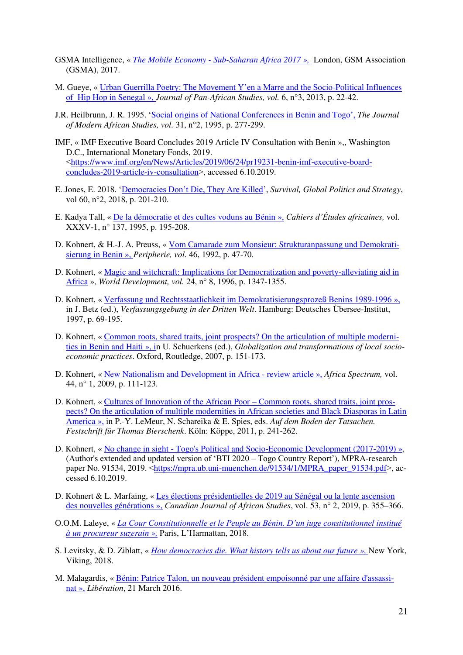- GSMA Intelligence, « *[The Mobile Economy Sub-Saharan Africa 2017](https://www.gsmaintelligence.com/research/?file=7bf3592e6d750144e58d9dcfac6adfab&download) »,* London, GSM Association (GSMA), 2017.
- M. Gueye, « [Urban Guerrilla Poetry: The Movement Y'en a Marre and the Socio](http://www.jpanafrican.org/docs/vol6no3/6.3-4-Gueye-Urban.pdf)-Political Influences [of Hip Hop in Senegal](http://www.jpanafrican.org/docs/vol6no3/6.3-4-Gueye-Urban.pdf) », *Journal of Pan-African Studies, vol.* 6, n°3, 2013, p. 22-42.
- J.R. Heilbrunn, J. R. 1995. '[Social origins of National Conferences in Benin and Togo](https://www.jstor.org/stable/161005?seq=1#page_scan_tab_contents)', *The Journal of Modern African Studies, vol.* 31, n°2, 1995, p. 277-299.
- IMF, « IMF Executive Board Concludes 2019 Article IV Consultation with Benin »,, Washington D.C., International Monetary Fonds, 2019. ˂[https://www.imf.org/en/News/Articles/2019/06/24/pr19231-benin-imf-executive-board](https://www.imf.org/en/News/Articles/2019/06/24/pr19231-benin-imf-executive-board-concludes-2019-article-iv-consultation)[concludes-2019-article-iv-consultation](https://www.imf.org/en/News/Articles/2019/06/24/pr19231-benin-imf-executive-board-concludes-2019-article-iv-consultation) is, accessed 6.10.2019.
- E. Jones, E. 2018. ['Democracies Don't Die, They Are Killed'](https://www.tandfonline.com/doi/abs/10.1080/00396338.2018.1448588?journalCode=tsur20), *Survival, Global Politics and Strategy*, vol 60, n°2, 2018, p. 201-210.
- E. Kadya Tall, « [De la démocratie et des cultes voduns au Bénin](http://horizon.documentation.ird.fr/exl-doc/pleins_textes/pleins_textes_6/b_fdi_35-36/42415.pdf) », *Cahiers d'Études africaines,* vol. XXXV-1, n° 137, 1995, p. 195-208.
- D. Kohnert, & H.-J. A. Preuss, « [Vom Camarade zum Monsieur: Strukturanpassung und Demokrati](https://papers.ssrn.com/sol3/papers.cfm?abstract_id=996032)[sierung in Benin](https://papers.ssrn.com/sol3/papers.cfm?abstract_id=996032) », *Peripherie, vol.* 46, 1992, p. 47-70.
- D. Kohnert, « [Magic and witchcraft: Implications for Democratization and poverty-alleviating aid in](https://www.ssoar.info/ssoar/handle/document/55638)  [Africa](https://www.ssoar.info/ssoar/handle/document/55638) », *World Development, vol.* 24, n° 8, 1996, p. 1347-1355.
- D. Kohnert, « [Verfassung und Rechtsstaatlichkeit im Demokratisierungsprozeß Benins 1989-1996](https://www.researchgate.net/publication/280683265_Verfassung_und_Rechtsstaatlichkeit_im_Demokratisierungsprozess_Benins_1989_-_1996_The_Consitution_and_rule_of_law_in_the_process_of_democratization_of_Benin_1989_-_1996) », in J. Betz (ed.), *Verfassungsgebung in der Dritten Welt*. Hamburg: Deutsches Übersee-Institut, 1997, p. 69-195.
- D. Kohnert, « [Common roots, shared traits, joint prospects? On the articulation of multiple moderni](https://www.econstor.eu/handle/10419/118682)[ties in Benin and Haiti](https://www.econstor.eu/handle/10419/118682) », in U. Schuerkens (ed.), *Globalization and transformations of local socioeconomic practices*. Oxford, Routledge, 2007, p. 151-173.
- D. Kohnert, « [New Nationalism and Development in Africa review article](https://www.researchgate.net/publication/46553488_New_Nationalism_and_Development_in_Africa) », *Africa Spectrum,* vol. 44, n° 1, 2009, p. 111-123.
- D. Kohnert, « [Cultures of Innovation of the African Poor](https://www.researchgate.net/publication/24113659_Cultures_of_Innovation_of_the_African_Poor_Common_Roots_Shared_Traits_Joint_Prospects_On_the_Articulation_of_Multiple_Modernities_in_African_Societies_and_Black_Diasporas_in_Latin_America)  Common roots, shared traits, joint pros[pects? On the articulation of multiple modernities in African societies and Black Diasporas in Latin](https://www.researchgate.net/publication/24113659_Cultures_of_Innovation_of_the_African_Poor_Common_Roots_Shared_Traits_Joint_Prospects_On_the_Articulation_of_Multiple_Modernities_in_African_Societies_and_Black_Diasporas_in_Latin_America)  [America »,](https://www.researchgate.net/publication/24113659_Cultures_of_Innovation_of_the_African_Poor_Common_Roots_Shared_Traits_Joint_Prospects_On_the_Articulation_of_Multiple_Modernities_in_African_Societies_and_Black_Diasporas_in_Latin_America) in P.-Y. LeMeur, N. Schareika & E. Spies, eds. *Auf dem Boden der Tatsachen. Festschrift für Thomas Bierschenk*. Köln: Köppe, 2011, p. 241-262.
- D. Kohnert, « [No change in sight Togo's Political and Socio-Economic Development \(2017-2019\)](https://mpra.ub.uni-muenchen.de/91534/1/MPRA_paper_91534.pdf) », (Author's extended and updated version of 'BTI 2020 – Togo Country Report'), MPRA-research paper No. 91534, 2019. <[https://mpra.ub.uni-muenchen.de/91534/1/MPRA\\_paper\\_91534.pdf](https://mpra.ub.uni-muenchen.de/91534/1/MPRA_paper_91534.pdf)>, accessed 6.10.2019.
- D. Kohnert & L. Marfaing, « [Les élections présidentielles de 2019 au Sénégal ou la lente ascension](https://www.researchgate.net/publication/332288448_Senegal_Presidential_Elections_2019_-_The_Shining_Example_of_Democratic_Transition_Immersed_in_Muddy_Power-Politics)  [des nouvelles générations](https://www.researchgate.net/publication/332288448_Senegal_Presidential_Elections_2019_-_The_Shining_Example_of_Democratic_Transition_Immersed_in_Muddy_Power-Politics) », *Canadian Journal of African Studies*, vol. 53, n° 2, 2019, p. 355–366.
- O.O.M. Laleye, « *[La Cour Constitutionnelle et le Peuple au Bénin. D'un juge constitutionnel i](http://www.editions-harmattan.fr/index.asp?navig=catalogue&obj=livre&no=60413)nstitué [à un procureur suzerain](http://www.editions-harmattan.fr/index.asp?navig=catalogue&obj=livre&no=60413) »,* Paris, L'Harmattan, 2018.
- S. Levitsky, & D. Ziblatt, « *[How democracies die. What history tells us about our future »,](https://www.amazon.com/dp/B071L5C5HG/ref=sr_1_fkmr0_1?__mk_de_DE=%C3%85M%C3%85%C5%BD%C3%95%C3%91&keywords=How+Democracies+Die%3A+What+History+Tells+Us+About+Our+Future&qid=1558080119&s=gateway&sr=8-1-fkmr0)* New York, Viking, 2018.
- M. Malagardis, « [Bénin: Patrice Talon, un nouveau président empoisonné par une affaire d'assassi](https://www.liberation.fr/planete/2016/03/21/benin-patrice-talon-un-nouveau-president-empoisonne-par-une-affaire-d-assassinat_1440957)[nat](https://www.liberation.fr/planete/2016/03/21/benin-patrice-talon-un-nouveau-president-empoisonne-par-une-affaire-d-assassinat_1440957) », *Libération*, 21 March 2016.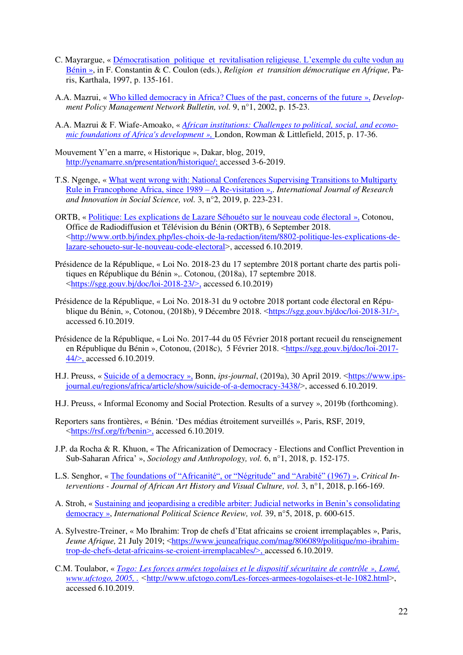- C. Mayrargue, « Démocratisation politique et [revitalisation religieuse. L'exemple du culte vodun au](https://books.google.de/books/about/Religion_et_transition_d%C3%A9mocratique_en.html?id=g3-Zs_p5zqwC&redir_esc=y)  [Bénin](https://books.google.de/books/about/Religion_et_transition_d%C3%A9mocratique_en.html?id=g3-Zs_p5zqwC&redir_esc=y) », in F. Constantin & C. Coulon (eds.), *Religion et transition démocratique en Afrique,* Paris, Karthala, 1997, p. 135-161.
- A.A. Mazrui, « [Who killed democracy in Africa? Clues of the past, concerns of the future](https://zelalemkibret.files.wordpress.com/2013/02/who-killed-democracy-in-africa.pdf) », *Development Policy Management Network Bulletin, vol.* 9, n°1, 2002, p. 15-23.
- A.A. Mazrui & F. Wiafe-Amoako, « *[African institutions: Challenges to political, social, and econo](https://www.amazon.com/African-Institutions-Challenges-Foundations-Development/dp/1442239530)[mic foundations of Africa's development](https://www.amazon.com/African-Institutions-Challenges-Foundations-Development/dp/1442239530) »,* London, Rowman & Littlefield, 2015, p. 17-36.
- Mouvement Y'en a marre, « Historique », Dakar, blog, 2019, [http://yenamarre.sn/presentation/historique/;](http://yenamarre.sn/presentation/historique/) accessed 3-6-2019.
- T.S. Ngenge, « [What went wrong with: National Conferences Supervising Transitions to Multiparty](https://www.rsisinternational.org/virtual-library/papers/what-went-wrong-with-national-conferences-supervising-transitions-to-multiparty-rule-in-francophone-africa-since-1989-a-re-visitation/)  [Rule in Francophone Africa, since 1989](https://www.rsisinternational.org/virtual-library/papers/what-went-wrong-with-national-conferences-supervising-transitions-to-multiparty-rule-in-francophone-africa-since-1989-a-re-visitation/) – A Re-visitation »,. *International Journal of Research and Innovation in Social Science, vol.* 3, n°2, 2019, p. 223-231.
- ORTB, « [Politique: Les explications de Lazare Séhouéto sur le nouveau code électoral](http://www.ortb.bj/index.php/les-choix-de-la-redaction/item/8802-politique-les-explications-de-lazare-sehoueto-sur-le-nouveau-code-electoral) », Cotonou, Office de Radiodiffusion et Télévision du Bénin (ORTB), 6 September 2018. ˂[http://www.ortb.bj/index.php/les-choix-de-la-redaction/item/8802-politique-les-explications-de](http://www.ortb.bj/index.php/les-choix-de-la-redaction/item/8802-politique-les-explications-de-lazare-sehoueto-sur-le-nouveau-code-electoral)[lazare-sehoueto-sur-le-nouveau-code-electoral](http://www.ortb.bj/index.php/les-choix-de-la-redaction/item/8802-politique-les-explications-de-lazare-sehoueto-sur-le-nouveau-code-electoral)>, accessed 6.10.2019.
- Présidence de la République, « Loi No. 2018-23 du 17 septembre 2018 portant charte des partis politiques en République du Bénin »,. Cotonou, (2018a), 17 septembre 2018. ˂<https://sgg.gouv.bj/doc/loi-2018-23/>˃, accessed 6.10.2019)
- Présidence de la République, « Loi No. 2018-31 du 9 octobre 2018 portant code électoral en République du Bénin, », Cotonou,  $(2018b)$ , 9 Décembre 2018.  $\langle \frac{https://sgg.gov.bj/doc/loi-2018-31}{>},$ accessed 6.10.2019.
- Présidence de la République, « Loi No. 2017-44 du 05 Février 2018 portant recueil du renseignement en République du Bénin », Cotonou, (2018c), 5 Février 2018. <[https://sgg.gouv.bj/doc/loi-2017-](https://sgg.gouv.bj/doc/loi-2017-44/) [44/](https://sgg.gouv.bj/doc/loi-2017-44/)˃, accessed 6.10.2019.
- H.J. Preuss, « [Suicide of a democracy](https://www.ips-journal.eu/regions/africa/article/show/suicide-of-a-democracy-3438/) », Bonn, *ips-journal*, (2019a), 30 April 2019. ˂[https://www.ips](https://www.ips-journal.eu/regions/africa/article/show/suicide-of-a-democracy-3438/)[journal.eu/regions/africa/article/show/suicide-of-a-democracy-3438/](https://www.ips-journal.eu/regions/africa/article/show/suicide-of-a-democracy-3438/) $>$ , accessed 6.10.2019.
- H.J. Preuss, « Informal Economy and Social Protection. Results of a survey », 2019b (forthcoming).
- Reporters sans frontières, « Bénin. 'Des médias étroitement surveillés », Paris, RSF, 2019, ˂<https://rsf.org/fr/benin>˃, accessed 6.10.2019.
- J.P. da Rocha & R. Khuon, « The Africanization of Democracy Elections and Conflict Prevention in Sub-Saharan Africa' », *Sociology and Anthropology, vol.* 6, n°1, 2018, p. 152-175.
- L.S. Senghor, « [The foundations of "Africanité", or "Négritude" and "Arabité" \(1967\)](https://www.tandfonline.com/doi/abs/10.1080/19301944.2009.10781367) », *Critical Interventions - Journal of African Art History and Visual Culture, vol.* 3, n°1, 2018, p.166-169.
- A. Stroh, « [Sustaining and jeopardising a credible arbiter: Judicial networks in Benin's consolidating](https://journals.sagepub.com/doi/abs/10.1177/0192512118805366?journalCode=ipsa)  [democracy](https://journals.sagepub.com/doi/abs/10.1177/0192512118805366?journalCode=ipsa) », *International Political Science Review, vol.* 39, n°5, 2018, p. 600-615.
- A. Sylvestre-Treiner, « Mo Ibrahim: Trop de chefs d'Etat africains se croient irremplaçables », Paris, *Jeune Afrique,* 21 July 2019; ˂[https://www.jeuneafrique.com/mag/806089/politique/mo-ibrahim](https://www.jeuneafrique.com/mag/806089/politique/mo-ibrahim-trop-de-chefs-detat-africains-se-croient-irremplacables/)[trop-de-chefs-detat-africains-se-croient-irremplacables/](https://www.jeuneafrique.com/mag/806089/politique/mo-ibrahim-trop-de-chefs-detat-africains-se-croient-irremplacables/)˃, accessed 6.10.2019.
- C.M. Toulabor, « *[Togo: Les forces armées togolaises et le dispositif sécuritaire de contrôle](http://www.ufctogo.com/Les-forces-armees-togolaises-et-le-1082.html) », Lomé, [www.ufctogo,](http://www.ufctogo/) 2005, . ˂*<http://www.ufctogo.com/Les-forces-armees-togolaises-et-le-1082.html>˃, accessed 6.10.2019.